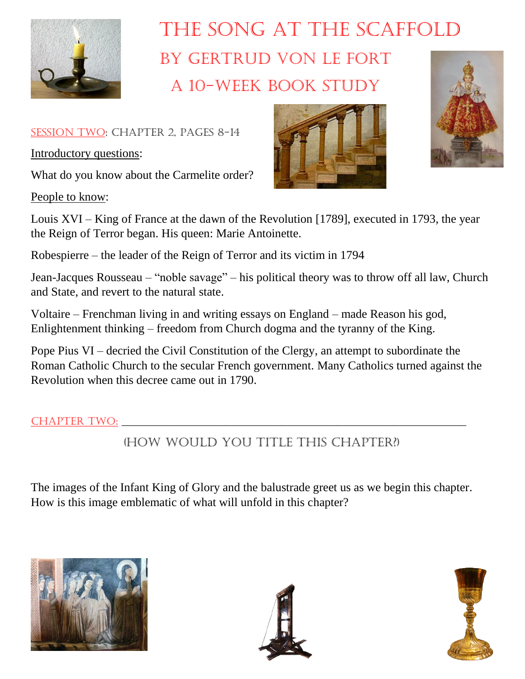

## The Song at the Scaffold By Gertrud von Le Fort A 10-week book study

SESSION TWO: CHAPTER 2, PAGES 8-14

Introductory questions:

What do you know about the Carmelite order?

People to know:





Louis XVI – King of France at the dawn of the Revolution [1789], executed in 1793, the year the Reign of Terror began. His queen: Marie Antoinette.

Robespierre – the leader of the Reign of Terror and its victim in 1794

Jean-Jacques Rousseau – "noble savage" – his political theory was to throw off all law, Church and State, and revert to the natural state.

Voltaire – Frenchman living in and writing essays on England – made Reason his god, Enlightenment thinking – freedom from Church dogma and the tyranny of the King.

Pope Pius VI – decried the Civil Constitution of the Clergy, an attempt to subordinate the Roman Catholic Church to the secular French government. Many Catholics turned against the Revolution when this decree came out in 1790.

Chapter Two: \_\_\_\_\_\_\_\_\_\_\_\_\_\_\_\_\_\_\_\_\_\_\_\_\_\_\_\_\_\_\_\_\_\_\_\_\_\_\_\_\_\_\_\_\_\_\_\_\_\_\_\_\_\_\_\_\_\_\_\_\_\_\_\_\_\_\_

(How would you title this Chapter?)

The images of the Infant King of Glory and the balustrade greet us as we begin this chapter. How is this image emblematic of what will unfold in this chapter?